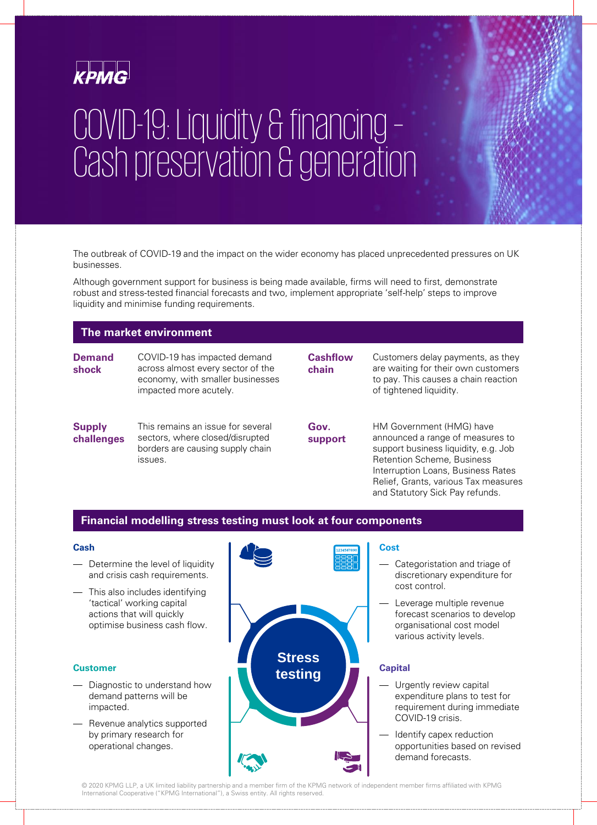

# COVID-19: Liquidity & financing – Cash preservation & generation

The outbreak of COVID-19 and the impact on the wider economy has placed unprecedented pressures on UK businesses.

Although government support for business is being made available, firms will need to first, demonstrate robust and stress-tested financial forecasts and two, implement appropriate 'self-help' steps to improve liquidity and minimise funding requirements.

## **The market environment**

**Demand shock** COVID-19 has impacted demand across almost every sector of the economy, with smaller businesses impacted more acutely.

#### **Supply challenges** This remains an issue for several sectors, where closed/disrupted borders are causing supply chain issues.

**Cashflow chain**

**Gov.**

Customers delay payments, as they are waiting for their own customers to pay. This causes a chain reaction of tightened liquidity.

**support** HM Government (HMG) have announced a range of measures to support business liquidity, e.g. Job Retention Scheme, Business Interruption Loans, Business Rates Relief, Grants, various Tax measures

## **Financial modelling stress testing must look at four components**

## **Cash**

- Determine the level of liquidity and crisis cash requirements.
- This also includes identifying 'tactical' working capital actions that will quickly optimise business cash flow.

## **Customer**

- Diagnostic to understand how demand patterns will be impacted.
- Revenue analytics supported by primary research for operational changes.



## **Cost**

Categoristation and triage of discretionary expenditure for cost control.

and Statutory Sick Pay refunds.

Leverage multiple revenue forecast scenarios to develop organisational cost model various activity levels.

## **Capital**

- Urgently review capital expenditure plans to test for requirement during immediate COVID-19 crisis.
- Identify capex reduction opportunities based on revised demand forecasts.

© 2020 KPMG LLP, a UK limited liability partnership and a member firm of the KPMG network of independent member firms affiliated with KPMG International Cooperative ("KPMG International"), a Swiss entity. All rights reserved.